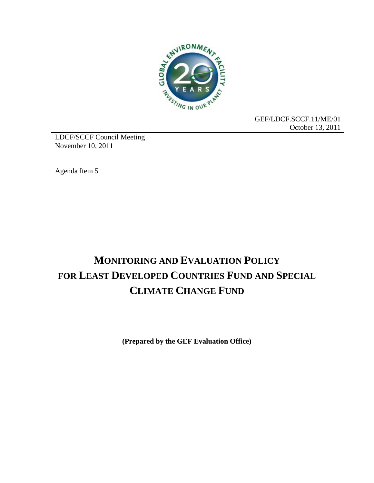

GEF/LDCF.SCCF.11/ME/01 October 13, 2011

LDCF/SCCF Council Meeting November 10, 2011

Agenda Item 5

# **MONITORING AND EVALUATION POLICY FOR LEAST DEVELOPED COUNTRIES FUND AND SPECIAL CLIMATE CHANGE FUND**

**(Prepared by the GEF Evaluation Office)**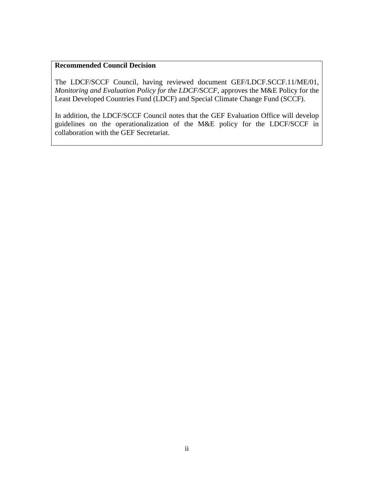#### **Recommended Council Decision**

The LDCF/SCCF Council, having reviewed document GEF/LDCF.SCCF.11/ME/01, *Monitoring and Evaluation Policy for the LDCF/SCCF*, approves the M&E Policy for the Least Developed Countries Fund (LDCF) and Special Climate Change Fund (SCCF).

In addition, the LDCF/SCCF Council notes that the GEF Evaluation Office will develop guidelines on the operationalization of the M&E policy for the LDCF/SCCF in collaboration with the GEF Secretariat.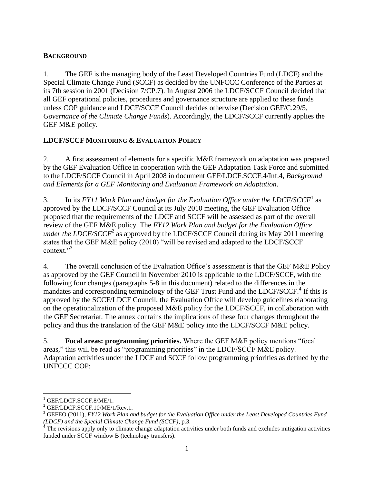#### **BACKGROUND**

1. The GEF is the managing body of the Least Developed Countries Fund (LDCF) and the Special Climate Change Fund (SCCF) as decided by the UNFCCC Conference of the Parties at its 7th session in 2001 (Decision 7/CP.7). In August 2006 the LDCF/SCCF Council decided that all GEF operational policies, procedures and governance structure are applied to these funds unless COP guidance and LDCF/SCCF Council decides otherwise (Decision GEF/C.29/5, *Governance of the Climate Change Funds*). Accordingly, the LDCF/SCCF currently applies the GEF M&E policy.

#### **LDCF/SCCF MONITORING & EVALUATION POLICY**

2. A first assessment of elements for a specific M&E framework on adaptation was prepared by the GEF Evaluation Office in cooperation with the GEF Adaptation Task Force and submitted to the LDCF/SCCF Council in April 2008 in document GEF/LDCF.SCCF.4/Inf.4, *Background and Elements for a GEF Monitoring and Evaluation Framework on Adaptation*.

3. In its *FY11 Work Plan and budget for the Evaluation Office under the LDCF/SCCF*<sup>1</sup> as approved by the LDCF/SCCF Council at its July 2010 meeting, the GEF Evaluation Office proposed that the requirements of the LDCF and SCCF will be assessed as part of the overall review of the GEF M&E policy. The *FY12 Work Plan and budget for the Evaluation Office under the LDCF/SCCF*<sup>2</sup> as approved by the LDCF/SCCF Council during its May 2011 meeting states that the GEF M&E policy (2010) "will be revised and adapted to the LDCF/SCCF context."<sup>3</sup>

4. The overall conclusion of the Evaluation Office's assessment is that the GEF M&E Policy as approved by the GEF Council in November 2010 is applicable to the LDCF/SCCF, with the following four changes (paragraphs 5-8 in this document) related to the differences in the mandates and corresponding terminology of the GEF Trust Fund and the LDCF/SCCF.<sup>4</sup> If this is approved by the SCCF/LDCF Council, the Evaluation Office will develop guidelines elaborating on the operationalization of the proposed M&E policy for the LDCF/SCCF, in collaboration with the GEF Secretariat. The annex contains the implications of these four changes throughout the policy and thus the translation of the GEF M&E policy into the LDCF/SCCF M&E policy.

5. **Focal areas: programming priorities.** Where the GEF M&E policy mentions "focal areas," this will be read as "programming priorities" in the LDCF/SCCF M&E policy. Adaptation activities under the LDCF and SCCF follow programming priorities as defined by the UNFCCC COP:

 $\overline{a}$ 

<sup>&</sup>lt;sup>1</sup> GEF/LDCF.SCCF.8/ME/1.

<sup>2</sup> GEF/LDCF.SCCF.10/ME/1/Rev.1.

<sup>3</sup> GEFEO (2011), *FY12 Work Plan and budget for the Evaluation Office under the Least Developed Countries Fund (LDCF) and the Special Climate Change Fund (SCCF)*, p.3.

 $4\overline{4}$  The revisions apply only to climate change adaptation activities under both funds and excludes mitigation activities funded under SCCF window B (technology transfers).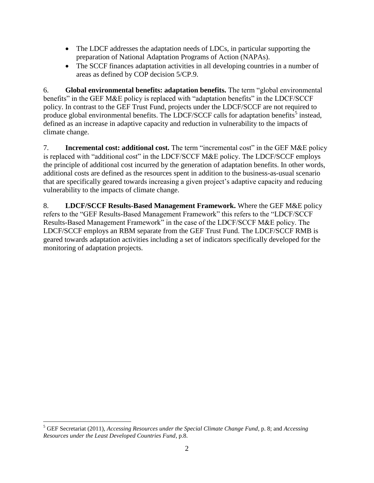- The LDCF addresses the adaptation needs of LDCs, in particular supporting the preparation of National Adaptation Programs of Action (NAPAs).
- The SCCF finances adaptation activities in all developing countries in a number of areas as defined by COP decision 5/CP.9.

6. **Global environmental benefits: adaptation benefits.** The term "global environmental benefits" in the GEF M&E policy is replaced with "adaptation benefits" in the LDCF/SCCF policy. In contrast to the GEF Trust Fund, projects under the LDCF/SCCF are not required to produce global environmental benefits. The LDCF/SCCF calls for adaptation benefits<sup>5</sup> instead, defined as an increase in adaptive capacity and reduction in vulnerability to the impacts of climate change.

7. **Incremental cost: additional cost.** The term "incremental cost" in the GEF M&E policy is replaced with "additional cost" in the LDCF/SCCF M&E policy. The LDCF/SCCF employs the principle of additional cost incurred by the generation of adaptation benefits. In other words, additional costs are defined as the resources spent in addition to the business-as-usual scenario that are specifically geared towards increasing a given project's adaptive capacity and reducing vulnerability to the impacts of climate change.

8. **LDCF/SCCF Results-Based Management Framework.** Where the GEF M&E policy refers to the "GEF Results-Based Management Framework" this refers to the "LDCF/SCCF Results-Based Management Framework" in the case of the LDCF/SCCF M&E policy. The LDCF/SCCF employs an RBM separate from the GEF Trust Fund. The LDCF/SCCF RMB is geared towards adaptation activities including a set of indicators specifically developed for the monitoring of adaptation projects.

 $\overline{a}$ <sup>5</sup> GEF Secretariat (2011), *Accessing Resources under the Special Climate Change Fund*, p. 8; and *Accessing Resources under the Least Developed Countries Fund*, p.8.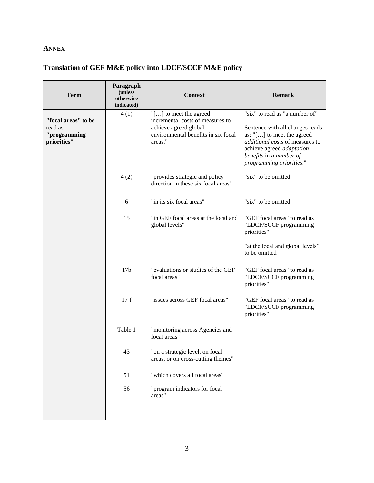### **ANNEX**

## **Translation of GEF M&E policy into LDCF/SCCF M&E policy**

| <b>Term</b>                                                   | Paragraph<br>(unless<br>otherwise<br>indicated) | <b>Context</b>                                                                                                                        | <b>Remark</b>                                                                                                                                                                                                          |
|---------------------------------------------------------------|-------------------------------------------------|---------------------------------------------------------------------------------------------------------------------------------------|------------------------------------------------------------------------------------------------------------------------------------------------------------------------------------------------------------------------|
| "focal areas" to be<br>read as<br>"programming<br>priorities" | 4(1)                                            | "[] to meet the agreed<br>incremental costs of measures to<br>achieve agreed global<br>environmental benefits in six focal<br>areas." | "six" to read as "a number of"<br>Sentence with all changes reads<br>as: "[] to meet the agreed<br>additional costs of measures to<br>achieve agreed adaptation<br>benefits in a number of<br>programming priorities." |
|                                                               | 4(2)                                            | "provides strategic and policy<br>direction in these six focal areas"                                                                 | "six" to be omitted                                                                                                                                                                                                    |
|                                                               | 6                                               | "in its six focal areas"                                                                                                              | "six" to be omitted                                                                                                                                                                                                    |
|                                                               | 15                                              | "in GEF focal areas at the local and<br>global levels"                                                                                | "GEF focal areas" to read as<br>"LDCF/SCCF programming<br>priorities"                                                                                                                                                  |
|                                                               |                                                 |                                                                                                                                       | "at the local and global levels"<br>to be omitted                                                                                                                                                                      |
|                                                               | 17 <sub>b</sub>                                 | "evaluations or studies of the GEF<br>focal areas"                                                                                    | "GEF focal areas" to read as<br>"LDCF/SCCF programming<br>priorities"                                                                                                                                                  |
|                                                               | 17f                                             | "issues across GEF focal areas"                                                                                                       | "GEF focal areas" to read as<br>"LDCF/SCCF programming<br>priorities"                                                                                                                                                  |
|                                                               | Table 1                                         | "monitoring across Agencies and<br>focal areas"                                                                                       |                                                                                                                                                                                                                        |
|                                                               | 43                                              | "on a strategic level, on focal<br>areas, or on cross-cutting themes"                                                                 |                                                                                                                                                                                                                        |
|                                                               | 51                                              | "which covers all focal areas"                                                                                                        |                                                                                                                                                                                                                        |
|                                                               | 56                                              | "program indicators for focal<br>areas"                                                                                               |                                                                                                                                                                                                                        |
|                                                               |                                                 |                                                                                                                                       |                                                                                                                                                                                                                        |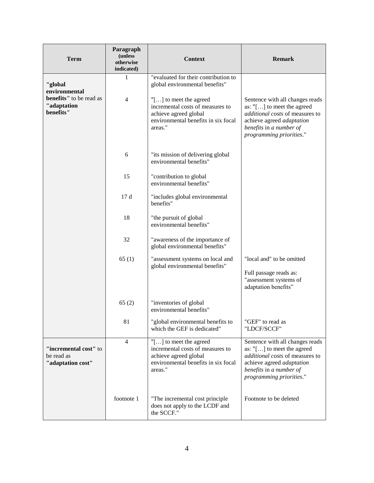| <b>Term</b>                                                                     | Paragraph<br>(unless<br>otherwise<br>indicated) | <b>Context</b>                                                                                                                                                                                                            | <b>Remark</b>                                                                                                                                                                                       |
|---------------------------------------------------------------------------------|-------------------------------------------------|---------------------------------------------------------------------------------------------------------------------------------------------------------------------------------------------------------------------------|-----------------------------------------------------------------------------------------------------------------------------------------------------------------------------------------------------|
| "global<br>environmental<br>benefits" to be read as<br>"adaptation<br>benefits" | 1<br>$\overline{4}$                             | "evaluated for their contribution to<br>global environmental benefits"<br>"[ $\ldots$ ] to meet the agreed<br>incremental costs of measures to<br>achieve agreed global<br>environmental benefits in six focal<br>areas." | Sentence with all changes reads<br>as: "[] to meet the agreed<br>additional costs of measures to<br>achieve agreed adaptation<br>benefits in a number of                                            |
|                                                                                 | 6                                               | "its mission of delivering global<br>environmental benefits"                                                                                                                                                              | programming priorities."                                                                                                                                                                            |
|                                                                                 | 15                                              | "contribution to global<br>environmental benefits"                                                                                                                                                                        |                                                                                                                                                                                                     |
|                                                                                 | 17d                                             | "includes global environmental<br>benefits"                                                                                                                                                                               |                                                                                                                                                                                                     |
|                                                                                 | 18                                              | "the pursuit of global<br>environmental benefits"                                                                                                                                                                         |                                                                                                                                                                                                     |
|                                                                                 | 32                                              | "awareness of the importance of<br>global environmental benefits"                                                                                                                                                         |                                                                                                                                                                                                     |
|                                                                                 | 65(1)                                           | "assessment systems on local and<br>global environmental benefits"                                                                                                                                                        | "local and" to be omitted<br>Full passage reads as:<br>"assessment systems of<br>adaptation benefits"                                                                                               |
|                                                                                 | 65(2)                                           | "inventories of global<br>environmental benefits"                                                                                                                                                                         |                                                                                                                                                                                                     |
|                                                                                 | 81                                              | "global environmental benefits to<br>which the GEF is dedicated"                                                                                                                                                          | "GEF" to read as<br>"LDCF/SCCF"                                                                                                                                                                     |
| "incremental cost" to<br>be read as<br>"adaptation cost"                        | $\overline{4}$                                  | "[] to meet the agreed<br>incremental costs of measures to<br>achieve agreed global<br>environmental benefits in six focal<br>areas."                                                                                     | Sentence with all changes reads<br>as: $"[\ldots]$ to meet the agreed<br><i>additional costs</i> of measures to<br>achieve agreed adaptation<br>benefits in a number of<br>programming priorities." |
|                                                                                 | footnote 1                                      | "The incremental cost principle<br>does not apply to the LCDF and<br>the SCCF."                                                                                                                                           | Footnote to be deleted                                                                                                                                                                              |